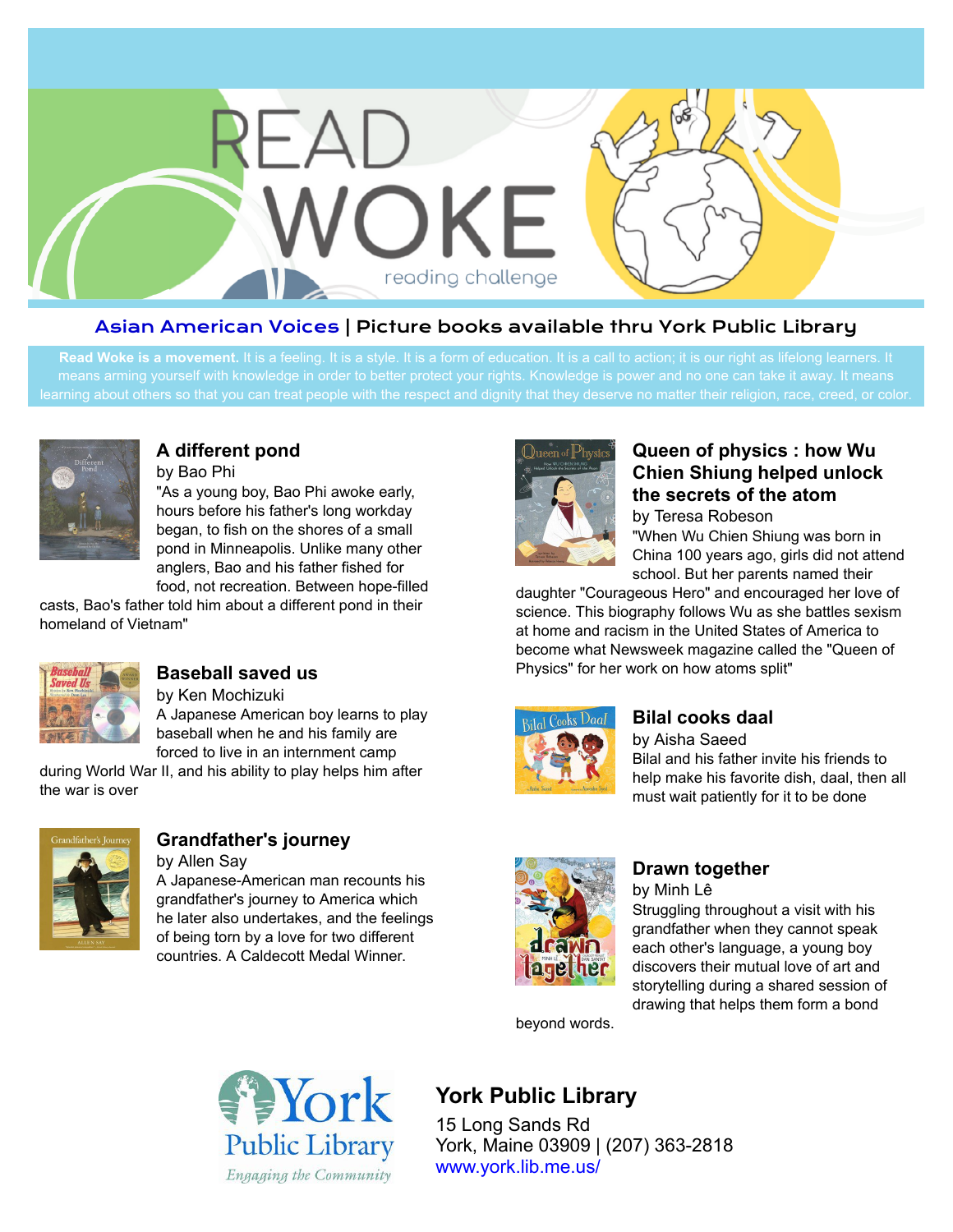

### Asian American Voices | Picture books available thru York Public Library

Read Woke is a movement. It is a feeling. It is a style. It is a form of education. It is a call to action; it is our right as lifelong learners. It



### **[A different pond](https://libraryaware.com/23T9ET)**

by Bao Phi "As a young boy, Bao Phi awoke early,

hours before his father's long workday began, to fish on the shores of a small pond in Minneapolis. Unlike many other anglers, Bao and his father fished for food, not recreation. Between hope-filled

casts, Bao's father told him about a different pond in their homeland of Vietnam"



#### **[Baseball saved us](https://libraryaware.com/23T9EV)**

by Ken Mochizuki A Japanese American boy learns to play baseball when he and his family are forced to live in an internment camp

during World War II, and his ability to play helps him after the war is over



# **[Grandfather's journey](https://libraryaware.com/23T9EW)**

by Allen Say A Japanese-American man recounts his grandfather's journey to America which he later also undertakes, and the feelings of being torn by a love for two different countries. A Caldecott Medal Winner.



### **[Queen of physics : how Wu](https://libraryaware.com/23T9EX) [Chien Shiung helped unlock](https://libraryaware.com/23T9EX) [the secrets of the atom](https://libraryaware.com/23T9EX)**

by Teresa Robeson "When Wu Chien Shiung was born in China 100 years ago, girls did not attend school. But her parents named their

daughter "Courageous Hero" and encouraged her love of science. This biography follows Wu as she battles sexism at home and racism in the United States of America to become what Newsweek magazine called the "Queen of Physics" for her work on how atoms split"



### **[Bilal cooks daal](https://libraryaware.com/23T9EY)**

by Aisha Saeed Bilal and his father invite his friends to help make his favorite dish, daal, then all must wait patiently for it to be done



### **[Drawn together](https://libraryaware.com/23T9EZ)**

by Minh Lê Struggling throughout a visit with his grandfather when they cannot speak each other's language, a young boy discovers their mutual love of art and storytelling during a shared session of drawing that helps them form a bond

beyond words.



# **York Public Library**

15 Long Sands Rd York, Maine 03909 | (207) 363-2818 [www.york.lib.me.us/](https://libraryaware.com/23T9F0)